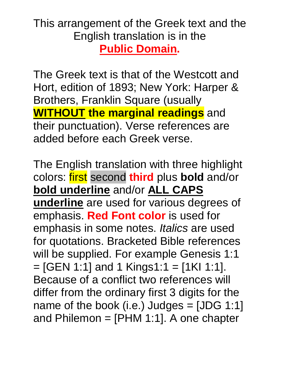#### This arrangement of the Greek text and the English translation is in the **Public Domain.**

The Greek text is that of the Westcott and Hort, edition of 1893; New York: Harper & Brothers, Franklin Square (usually **WITHOUT the marginal readings** and their punctuation). Verse references are added before each Greek verse.

The English translation with three highlight colors: first second **third** plus **bold** and/or **bold underline** and/or **ALL CAPS underline** are used for various degrees of emphasis. **Red Font color** is used for emphasis in some notes. *Italics* are used for quotations. Bracketed Bible references will be supplied. For example Genesis 1:1  $=$  [GEN 1:1] and 1 Kings1:1 = [1KI 1:1]. Because of a conflict two references will differ from the ordinary first 3 digits for the name of the book (i.e.) Judges  $=$  [JDG 1:1] and Philemon  $=$  [PHM 1:1]. A one chapter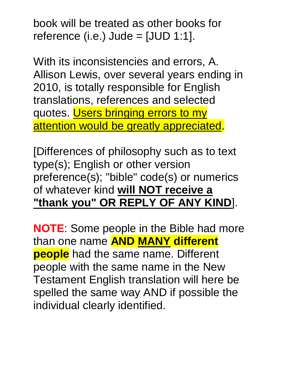book will be treated as other books for reference (i.e.) Jude =  $[JUD 1:1]$ .

With its inconsistencies and errors, A. Allison Lewis, over several years ending in 2010, is totally responsible for English translations, references and selected quotes. Users bringing errors to my attention would be greatly appreciated.

[Differences of philosophy such as to text type(s); English or other version preference(s); "bible" code(s) or numerics of whatever kind **will NOT receive a "thank you" OR REPLY OF ANY KIND**].

**NOTE**: Some people in the Bible had more than one name **AND MANY different people** had the same name. Different people with the same name in the New Testament English translation will here be spelled the same way AND if possible the individual clearly identified.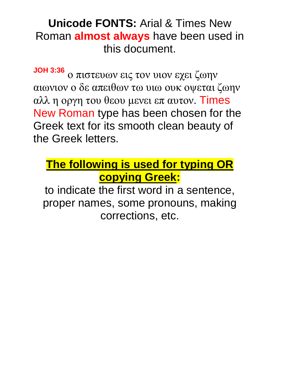#### **Unicode FONTS:** Arial & Times New Roman **almost always** have been used in this document.

**JOH 3:36** ο πιστευων εις τον υιον εχει ζωην αιωνιον ο δε απειθων τω υιω ουκ οψεται ζωην αλλ η οργη του θεου μενει επ αυτον. Times New Roman type has been chosen for the Greek text for its smooth clean beauty of the Greek letters.

#### **The following is used for typing OR copying Greek:**

to indicate the first word in a sentence, proper names, some pronouns, making corrections, etc.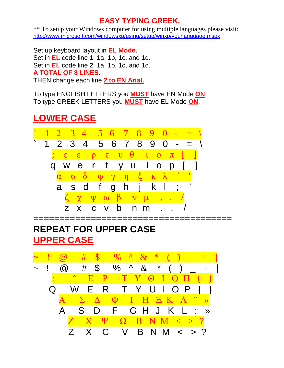#### **EASY TYPING GREEK.**

\*\* To setup your Windows computer for using multiple languages please visit: <http://www.microsoft.com/windowsxp/using/setup/winxp/yourlanguage.mspx>

Set up keyboard layout in **EL Mode**. Set in **EL** code line **1**: 1a, 1b, 1c. and 1d. Set in **EL** code line **2**: 1a, 1b, 1c, and 1d. **A TOTAL OF 8 LINES**. THEN change each line **2 to EN Arial.** 

To type ENGLISH LETTERS you **MUST** have EN Mode **ON**. To type GREEK LETTERS you **MUST** have EL Mode **ON**.

#### **LOWER CASE**



#### **REPEAT FOR UPPER CASE UPPER CASE**

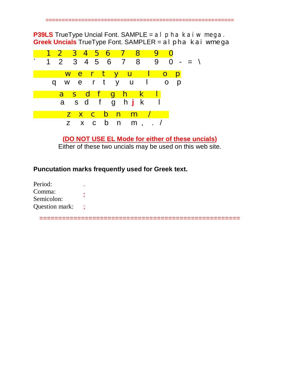==========================================================

**P39LS** TrueType Uncial Font. SAMPLE = al pha kai wmega. **Greek Uncials** TrueType Font. SAMPLER = al pha kai wmega



**(DO NOT USE EL Mode for either of these uncials)**  Either of these two uncials may be used on this web site.

#### **Puncutation marks frequently used for Greek text.**

| Period:        |  |
|----------------|--|
| Comma:         |  |
| Semicolon:     |  |
| Question mark: |  |

=====================================================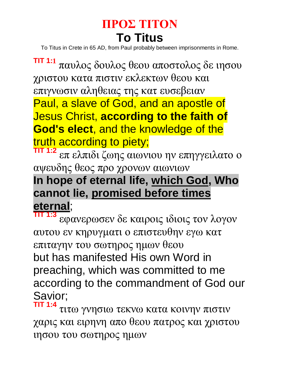## **ΠΡΟΣ ΤΙΤΟΝ To Titus**

To Titus in Crete in 65 AD, from Paul probably between imprisonments in Rome.

**TIT 1:1** παυλος δουλος θεου αποστολος δε ιησου χριστου κατα πιστιν εκλεκτων θεου και επιγνωσιν αληθειας της κατ ευσεβειαν Paul, a slave of God, and an apostle of Jesus Christ, **according to the faith of God's elect**, and the knowledge of the truth according to piety;

**TIT 1:2** επ ελπιδι ζωης αιωνιου ην επηγγειλατο ο αψευδης θεος προ χρονων αιωνιων

#### **In hope of eternal life, which God, Who cannot lie, promised before times eternal**;

**TIT 1:3** εφανερωσεν δε καιροις ιδιοις τον λογον αυτου εν κηρυγματι ο επιστευθην εγω κατ επιταγην του σωτηρος ημων θεου but has manifested His own Word in preaching, which was committed to me according to the commandment of God our Savior;

**TIT 1:4** τιτω γνησιω τεκνω κατα κοινην πιστιν χαρις και ειρηνη απο θεου πατρος και χριστου ιησου του σωτηρος ημων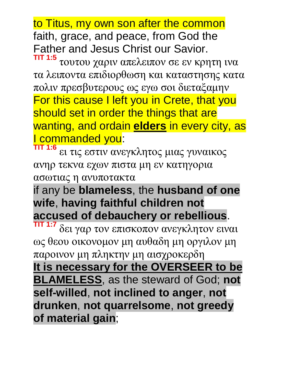to Titus, my own son after the common faith, grace, and peace, from God the Father and Jesus Christ our Savior.

**TIT 1:5** τουτου χαριν απελειπον σε εν κρητη ινα τα λειποντα επιδιορθωση και καταστησης κατα πολιν πρεσβυτερους ως εγω σοι διεταξαμην For this cause I left you in Crete, that you should set in order the things that are wanting, and ordain **elders** in every city, as I commanded you: **TIT 1:6**

ει τις εστιν ανεγκλητος μιας γυναικος ανηρ τεκνα εχων πιστα μη εν κατηγορια ασωτιας η ανυποτακτα

if any be **blameless**, the **husband of one wife**, **having faithful children not accused of debauchery or rebellious**.

1:7 δει γαρ τον επισκοπον ανεγκλητον ειναι ως θεου οικονομον μη αυθαδη μη οργιλον μη παροινον μη πληκτην μη αισχροκερδη **It is necessary for the OVERSEER to be BLAMELESS**, as the steward of God; **not self-willed**, **not inclined to anger**, **not drunken**, **not quarrelsome**, **not greedy of material gain**;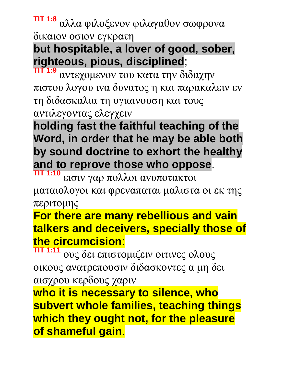**TIT 1:8** αλλα φιλοξενον φιλαγαθον σωφρονα δικαιον οσιον εγκρατη

## **but hospitable, a lover of good, sober, righteous, pious, disciplined**;

**TIT 1:9** αντεχομενον του κατα την διδαχην πιστου λογου ινα δυνατος η και παρακαλειν εν τη διδασκαλια τη υγιαινουση και τους αντιλεγοντας ελεγχειν

**holding fast the faithful teaching of the Word, in order that he may be able both by sound doctrine to exhort the healthy and to reprove those who oppose**.

**TIT 1:10** εισιν γαρ πολλοι ανυποτακτοι ματαιολογοι και φρεναπαται μαλιστα οι εκ της

περιτομης

#### **For there are many rebellious and vain talkers and deceivers, specially those of the circumcision**:

**TIT 1:11** ους δει επιστομιζειν οιτινες ολους οικους ανατρεπουσιν διδασκοντες α μη δει αισχρου κερδους χαριν

**who it is necessary to silence, who subvert whole families, teaching things which they ought not, for the pleasure of shameful gain**.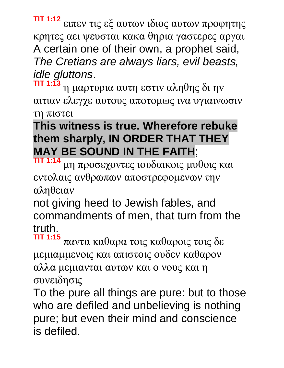**TIT 1:12** ειπεν τις εξ αυτων ιδιος αυτων προφητης κρητες αει ψευσται κακα θηρια γαστερες αργαι A certain one of their own, a prophet said, *The Cretians are always liars, evil beasts, idle gluttons*.

**TIT 1:13** η μαρτυρια αυτη εστιν αληθης δι ην αιτιαν ελεγχε αυτους αποτομως ινα υγιαινωσιν τη πιστει

#### **This witness is true. Wherefore rebuke them sharply, IN ORDER THAT THEY MAY BE SOUND IN THE FAITH**;

**TIT 1:14** μη προσεχοντες ιουδαικοις μυθοις και εντολαις ανθρωπων αποστρεφομενων την αληθειαν

not giving heed to Jewish fables, and commandments of men, that turn from the truth.

**TIT 1:15** παντα καθαρα τοις καθαροις τοις δε μεμιαμμενοις και απιστοις ουδεν καθαρον αλλα μεμιανται αυτων και ο νους και η συνειδησις

To the pure all things are pure: but to those who are defiled and unbelieving is nothing pure; but even their mind and conscience is defiled.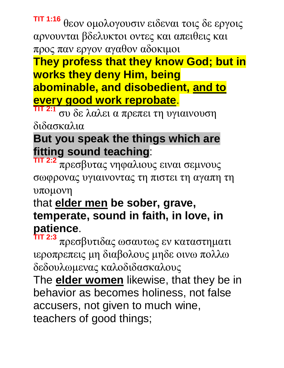#### **TIT 1:16** θεον ομολογουσιν ειδεναι τοις δε εργοις αρνουνται βδελυκτοι οντες και απειθεις και προς παν εργον αγαθον αδοκιμοι

#### **They profess that they know God; but in works they deny Him, being abominable, and disobedient, and to every good work reprobate**.

 $2:1$ συ δε λαλει α πρεπει τη υγιαινουση διδασκαλια

#### **But you speak the things which are fitting sound teaching**:

**TIT 2:2** πρεσβυτας νηφαλιους ειναι σεμνους σωφρονας υγιαινοντας τη πιστει τη αγαπη τη υπομονη

#### that **elder men be sober, grave, temperate, sound in faith, in love, in patience**.

**TIT 2:3** πρεσβυτιδας ωσαυτως εν καταστηματι ιεροπρεπεις μη διαβολους μηδε οινω πολλω δεδουλωμενας καλοδιδασκαλους

The **elder women** likewise, that they be in behavior as becomes holiness, not false accusers, not given to much wine, teachers of good things;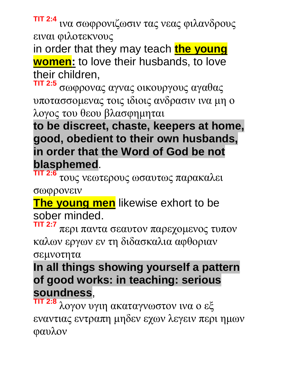**TIT 2:4** ινα σωφρονιζωσιν τας νεας φιλανδρους ειναι φιλοτεκνους

in order that they may teach **the young women:** to love their husbands, to love their children,

**TIT 2:5** σωφρονας αγνας οικουργους αγαθας υποτασσομενας τοις ιδιοις ανδρασιν ινα μη ο λογος του θεου βλασφημηται

**to be discreet, chaste, keepers at home, good, obedient to their own husbands, in order that the Word of God be not blasphemed**.

**TIT 2:6** τους νεωτερους ωσαυτως παρακαλει σωφρονειν

**The young men** likewise exhort to be sober minded.

**TIT 2:7** περι παντα σεαυτον παρεχομενος τυπον καλων εργων εν τη διδασκαλια αφθοριαν

σεμνοτητα

**In all things showing yourself a pattern of good works: in teaching: serious soundness**,

**TIT 2:8** λογον υγιη ακαταγνωστον ινα ο εξ εναντιας εντραπη μηδεν εχων λεγειν περι ημων φαυλον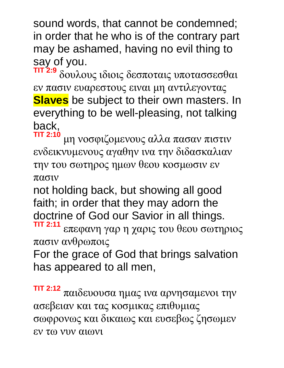sound words, that cannot be condemned; in order that he who is of the contrary part may be ashamed, having no evil thing to say of you.<br> $\frac{1}{2}$  s sayles

**TIT 2:9** δουλους ιδιοις δεσποταις υποτασσεσθαι εν πασιν ευαρεστους ειναι μη αντιλεγοντας **Slaves** be subject to their own masters. In everything to be well-pleasing, not talking back,

**TIT 2:10** μη νοσφιζομενους αλλα πασαν πιστιν ενδεικνυμενους αγαθην ινα την διδασκαλιαν την του σωτηρος ημων θεου κοσμωσιν εν πασιν

not holding back, but showing all good faith; in order that they may adorn the doctrine of God our Savior in all things. **TIT 2:11**

επεφανη γαρ η χαρις του θεου σωτηριος πασιν ανθρωποις

For the grace of God that brings salvation has appeared to all men,

**TIT 2:12** παιδευουσα ημας ινα αρνησαμενοι την ασεβειαν και τας κοσμικας επιθυμιας σωφρονως και δικαιως και ευσεβως ζησωμεν εν τω νυν αιωνι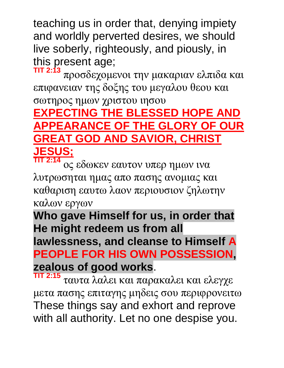teaching us in order that, denying impiety and worldly perverted desires, we should live soberly, righteously, and piously, in this present age; **TIT 2:13**

προσδεχομενοι την μακαριαν ελπιδα και επιφανειαν της δοξης του μεγαλου θεου και

#### σωτηρος ημων χριστου ιησου **EXPECTING THE BLESSED HOPE AND APPEARANCE OF THE GLORY OF OUR GREAT GOD AND SAVIOR, CHRIST JESUS;**

**TIT 2:14** ος εδωκεν εαυτον υπερ ημων ινα λυτρωσηται ημας απο πασης ανομιας και καθαριση εαυτω λαον περιουσιον ζηλωτην καλων εργων

**Who gave Himself for us, in order that He might redeem us from all lawlessness, and cleanse to Himself A PEOPLE FOR HIS OWN POSSESSION, zealous of good works**.

**TIT 2:15** ταυτα λαλει και παρακαλει και ελεγχε μετα πασης επιταγης μηδεις σου περιφρονειτω These things say and exhort and reprove with all authority. Let no one despise you.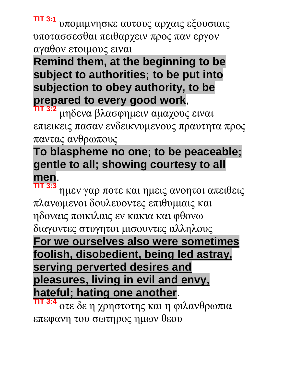**TIT 3:1** υπομιμνησκε αυτους αρχαις εξουσιαις υποτασσεσθαι πειθαρχειν προς παν εργον αγαθον ετοιμους ειναι

**Remind them, at the beginning to be subject to authorities; to be put into subjection to obey authority, to be prepared to every good work**,

**TIT 3:2** μηδενα βλασφημειν αμαχους ειναι επιεικεις πασαν ενδεικνυμενους πραυτητα προς παντας ανθρωπους

#### **To blaspheme no one; to be peaceable; gentle to all; showing courtesy to all men**.

**TIT 3:3** ημεν γαρ ποτε και ημεις ανοητοι απειθεις πλανωμενοι δουλευοντες επιθυμιαις και ηδοναις ποικιλαις εν κακια και φθονω διαγοντες στυγητοι μισουντες αλληλους **For we ourselves also were sometimes foolish, disobedient, being led astray, serving perverted desires and pleasures, living in evil and envy, hateful; hating one another**.

**TIT 3:4** οτε δε η χρηστοτης και η φιλανθρωπια επεφανη του σωτηρος ημων θεου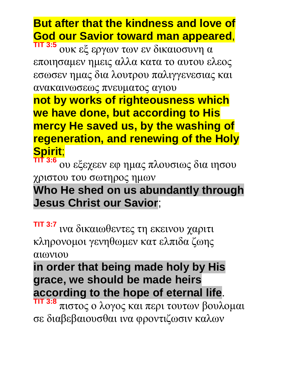#### **But after that the kindness and love of God our Savior toward man appeared**,

**TIT 3:5** ουκ εξ εργων των εν δικαιοσυνη α εποιησαμεν ημεις αλλα κατα το αυτου ελεος εσωσεν ημας δια λουτρου παλιγγενεσιας και ανακαινωσεως πνευματος αγιου

**not by works of righteousness which we have done, but according to His mercy He saved us, by the washing of regeneration, and renewing of the Holy Spirit**;

**TIT 3:6** ου εξεχεεν εφ ημας πλουσιως δια ιησου χριστου του σωτηρος ημων

#### **Who He shed on us abundantly through Jesus Christ our Savior**;

**TIT 3:7** ινα δικαιωθεντες τη εκεινου χαριτι κληρονομοι γενηθωμεν κατ ελπιδα ζωης αιωνιου

#### **in order that being made holy by His grace, we should be made heirs according to the hope of eternal life**.

**TIT 3:8** πιστος ο λογος και περι τουτων βουλομαι σε διαβεβαιουσθαι ινα φροντιζωσιν καλων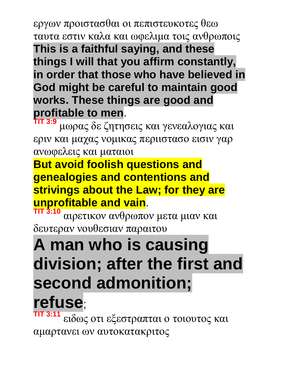εργων προιστασθαι οι πεπιστευκοτες θεω ταυτα εστιν καλα και ωφελιμα τοις ανθρωποις **This is a faithful saying, and these things I will that you affirm constantly, in order that those who have believed in God might be careful to maintain good works. These things are good and profitable to men**.

**TIT 3:9** μωρας δε ζητησεις και γενεαλογιας και εριν και μαχας νομικας περιιστασο εισιν γαρ ανωφελεις και ματαιοι

**But avoid foolish questions and genealogies and contentions and strivings about the Law; for they are unprofitable and vain**.

**TIT 3:10** αιρετικον ανθρωπον μετα μιαν και δευτεραν νουθεσιαν παραιτου

## **A man who is causing division; after the first and second admonition;**

# **refuse**;

**TIT 3:11** ειδως οτι εξεστραπται ο τοιουτος και αμαρτανει ων αυτοκατακριτος